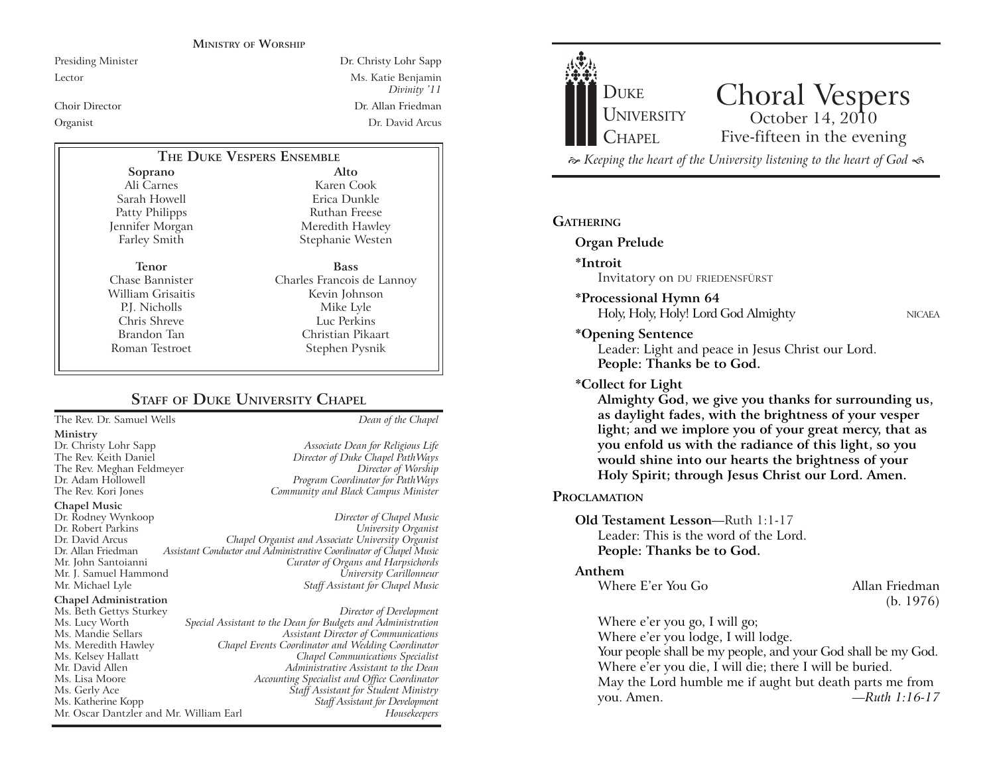#### **MINISTRY OF WORSHIP**

Presiding Minister Dr. Christy Lohr Sapp Lector Ms. Katie Benjamin *Divinity* '11 Choir Director Dr. Allan Friedman Organist Dr. David Arcus

# **THE DUKE VESPERS ENSEMBLE**

**Soprano** Ali Carnes Sarah Howell Patty Philipps Jennifer Morgan Farley Smith

**Tenor** Chase Bannister William Grisaitis P.J. Nicholls Chris Shreve Brandon Tan Roman Testroet

Karen Cook Erica Dunkle Ruthan Freese Meredith Hawley Stephanie Westen **Bass** Charles Francois de Lannoy Kevin Johnson Mike Lyle

**Alto**

Luc Perkins Christian Pikaart Stephen Pysnik

Director of Duke Chapel PathWays

# **STAFF** OF **DUKE UNIVERSITY CHAPEL**

The Rev. Dr. Samuel Wells *Dean of the Chapel*

#### **Ministry**

Dr. Christy Lohr Sapp *Associate Dean for Religious Life* The Rev. Meghan Feldmeyer *Director of Worship* Dr. Adam Hollowell *Program Coordinator for PathWays* The Rev. Kori Jones *Community and Black Campus Minister*

**Chapel Music**

Dr. Rodney Wynkoop *Director of Chapel Music*  $University$  *Organist* Dr. David Arcus *Chapel Organist and Associate University Organist* Dr. Allan Friedman *Assistant Conductor and Administrative Coordinator of Chapel Music* **Curator of Organs and Harpsichords** Mr. J. Samuel Hammond *University Carillonneur* **Staff Assistant for Chapel Music** 

#### **Chapel Administration**

Ms. Beth Gettys Sturkey *Director of Development* Ms. Lucy Worth *Special Assistant to the Dean for Budgets and Administration* Ms. Mandie Sellars *Assistant Director of Communications* Ms. Meredith Hawley *Chapel Events Coordinator and Wedding Coordinator* Ms. Kelsey Hallatt *Chapel Communications Specialist* Mr. David Allen *Administrative Assistant to the Dean* Ms. Lisa Moore *Accounting Specialist and Office Coordinator* Ms. Gerly Ace *Staff Assistant for Student Ministry* Ms. Katherine Kopp *Staff Assistant for Development* Mr. Oscar Dantzler and Mr. William Earl

Choral Vespers<br>
October 14, 2010 Five-fifteen in the evening **DUKE** UNIVERSITY CHAPEL  $\approx$  Keeping the heart of the University listening to the heart of God  $\ll$ 

## **GATHERING**

**Organ Prelude**

#### **\*Introit**

Invitatory on DU FRIEDENSFÜRST

### **\*Processional Hymn 64**

Holy, Holy, Holy! Lord God Almighty NICAEA

**\*Opening Sentence**

Leader: Light and peace in Jesus Christ our Lord. **People: Thanks be to God.**

#### **\*Collect for Light**

**Almighty God, we give you thanks for surrounding us, as daylight fades, with the brightness of your vesper light; and we implore you of your great mercy, that as you enfold us with the radiance of this light, so you would shine into our hearts the brightness of your Holy Spirit; through Jesus Christ our Lord. Amen.** 

### **PROCLAMATION**

## **Old Testament Lesson-Ruth 1:1-17** Leader: This is the word of the Lord. **People: Thanks be to God.**

#### **Anthem**

Where E'er You Go Allan Friedman

(b. 1976)

Where  $e^{\prime}$ er you go, I will go;

Where e'er you lodge, I will lodge.

Your people shall be my people, and your God shall be my God. Where e'er you die, I will die; there I will be buried. May the Lord humble me if aught but death parts me from you. Amen. **FRuth 1:16-17**